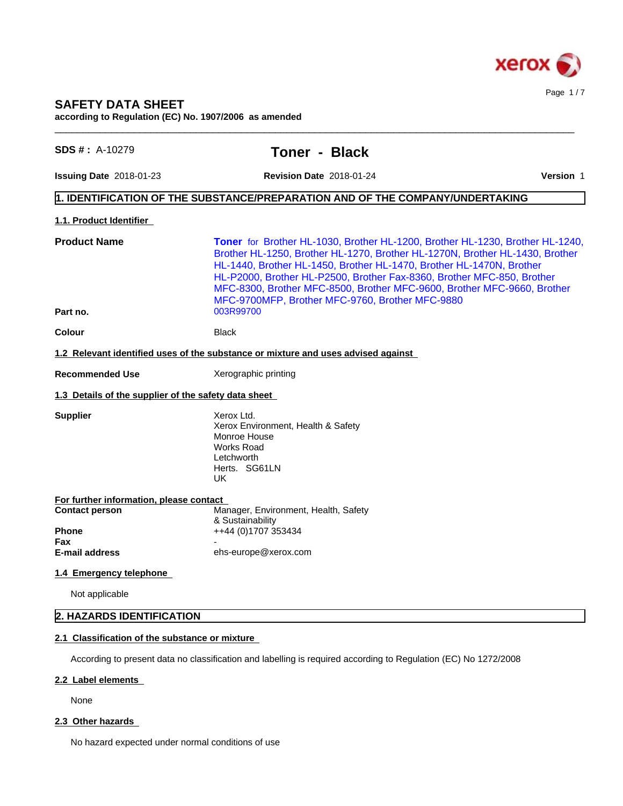

# **SAFETY DATA SHEET**

**according to Regulation (EC) No. 1907/2006 as amended**

| <b>Issuing Date 2018-01-23</b><br><b>Revision Date 2018-01-24</b><br>$\vert$ 1. IDENTIFICATION OF THE SUBSTANCE/PREPARATION AND OF THE COMPANY/UNDERTAKING<br>1.1. Product Identifier<br><b>Product Name</b><br>Toner for Brother HL-1030, Brother HL-1200, Brother HL-1230, Brother HL-1240,<br>Brother HL-1250, Brother HL-1270, Brother HL-1270N, Brother HL-1430, Brother<br>HL-1440, Brother HL-1450, Brother HL-1470, Brother HL-1470N, Brother<br>HL-P2000, Brother HL-P2500, Brother Fax-8360, Brother MFC-850, Brother<br>MFC-8300, Brother MFC-8500, Brother MFC-9600, Brother MFC-9660, Brother<br>MFC-9700MFP, Brother MFC-9760, Brother MFC-9880<br>Part no.<br>003R99700<br><b>Colour</b><br><b>Black</b><br>1.2 Relevant identified uses of the substance or mixture and uses advised against<br>Xerographic printing<br><b>Recommended Use</b><br>1.3 Details of the supplier of the safety data sheet<br>Xerox Ltd.<br><b>Supplier</b><br>Xerox Environment, Health & Safety<br>Monroe House | <b>Version 1</b> |
|---------------------------------------------------------------------------------------------------------------------------------------------------------------------------------------------------------------------------------------------------------------------------------------------------------------------------------------------------------------------------------------------------------------------------------------------------------------------------------------------------------------------------------------------------------------------------------------------------------------------------------------------------------------------------------------------------------------------------------------------------------------------------------------------------------------------------------------------------------------------------------------------------------------------------------------------------------------------------------------------------------------|------------------|
|                                                                                                                                                                                                                                                                                                                                                                                                                                                                                                                                                                                                                                                                                                                                                                                                                                                                                                                                                                                                               |                  |
|                                                                                                                                                                                                                                                                                                                                                                                                                                                                                                                                                                                                                                                                                                                                                                                                                                                                                                                                                                                                               |                  |
|                                                                                                                                                                                                                                                                                                                                                                                                                                                                                                                                                                                                                                                                                                                                                                                                                                                                                                                                                                                                               |                  |
|                                                                                                                                                                                                                                                                                                                                                                                                                                                                                                                                                                                                                                                                                                                                                                                                                                                                                                                                                                                                               |                  |
|                                                                                                                                                                                                                                                                                                                                                                                                                                                                                                                                                                                                                                                                                                                                                                                                                                                                                                                                                                                                               |                  |
|                                                                                                                                                                                                                                                                                                                                                                                                                                                                                                                                                                                                                                                                                                                                                                                                                                                                                                                                                                                                               |                  |
|                                                                                                                                                                                                                                                                                                                                                                                                                                                                                                                                                                                                                                                                                                                                                                                                                                                                                                                                                                                                               |                  |
|                                                                                                                                                                                                                                                                                                                                                                                                                                                                                                                                                                                                                                                                                                                                                                                                                                                                                                                                                                                                               |                  |
|                                                                                                                                                                                                                                                                                                                                                                                                                                                                                                                                                                                                                                                                                                                                                                                                                                                                                                                                                                                                               |                  |
| Works Road<br>Letchworth<br>Herts. SG61LN<br>UK                                                                                                                                                                                                                                                                                                                                                                                                                                                                                                                                                                                                                                                                                                                                                                                                                                                                                                                                                               |                  |
| For further information, please contact                                                                                                                                                                                                                                                                                                                                                                                                                                                                                                                                                                                                                                                                                                                                                                                                                                                                                                                                                                       |                  |
| Manager, Environment, Health, Safety<br><b>Contact person</b><br>& Sustainability                                                                                                                                                                                                                                                                                                                                                                                                                                                                                                                                                                                                                                                                                                                                                                                                                                                                                                                             |                  |
| ++44 (0)1707 353434<br><b>Phone</b><br>Fax                                                                                                                                                                                                                                                                                                                                                                                                                                                                                                                                                                                                                                                                                                                                                                                                                                                                                                                                                                    |                  |
| ehs-europe@xerox.com<br><b>E-mail address</b>                                                                                                                                                                                                                                                                                                                                                                                                                                                                                                                                                                                                                                                                                                                                                                                                                                                                                                                                                                 |                  |
| 1.4 Emergency telephone                                                                                                                                                                                                                                                                                                                                                                                                                                                                                                                                                                                                                                                                                                                                                                                                                                                                                                                                                                                       |                  |
| Not applicable                                                                                                                                                                                                                                                                                                                                                                                                                                                                                                                                                                                                                                                                                                                                                                                                                                                                                                                                                                                                |                  |
| 2. HAZARDS IDENTIFICATION                                                                                                                                                                                                                                                                                                                                                                                                                                                                                                                                                                                                                                                                                                                                                                                                                                                                                                                                                                                     |                  |

 $\_$  ,  $\_$  ,  $\_$  ,  $\_$  ,  $\_$  ,  $\_$  ,  $\_$  ,  $\_$  ,  $\_$  ,  $\_$  ,  $\_$  ,  $\_$  ,  $\_$  ,  $\_$  ,  $\_$  ,  $\_$  ,  $\_$  ,  $\_$  ,  $\_$  ,  $\_$  ,  $\_$  ,  $\_$  ,  $\_$  ,  $\_$  ,  $\_$  ,  $\_$  ,  $\_$  ,  $\_$  ,  $\_$  ,  $\_$  ,  $\_$  ,  $\_$  ,  $\_$  ,  $\_$  ,  $\_$  ,  $\_$  ,  $\_$  ,

According to present data no classification and labelling is required according to Regulation (EC) No 1272/2008

# **2.2 Label elements**

None

# 2.3 Other hazards

No hazard expected under normal conditions of use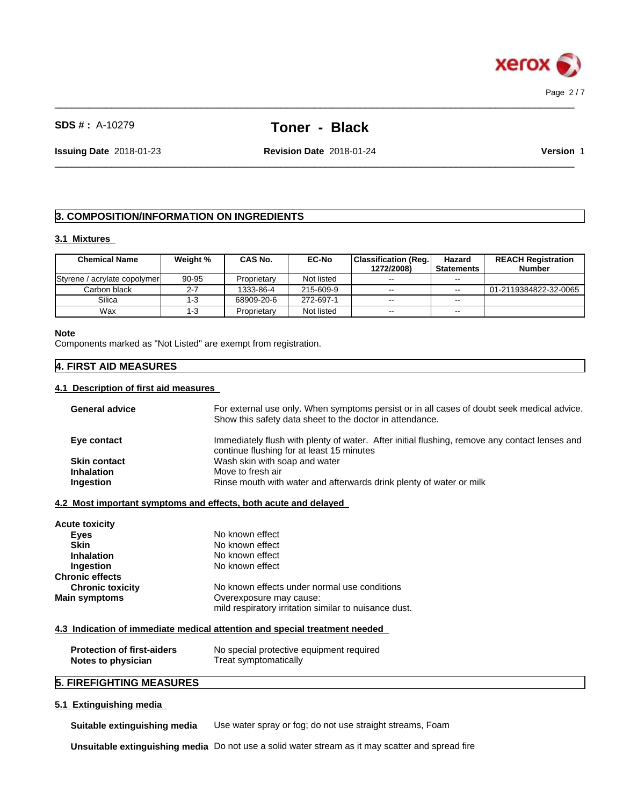

 $\_$  ,  $\_$  ,  $\_$  ,  $\_$  ,  $\_$  ,  $\_$  ,  $\_$  ,  $\_$  ,  $\_$  ,  $\_$  ,  $\_$  ,  $\_$  ,  $\_$  ,  $\_$  ,  $\_$  ,  $\_$  ,  $\_$  ,  $\_$  ,  $\_$  ,  $\_$  ,  $\_$  ,  $\_$  ,  $\_$  ,  $\_$  ,  $\_$  ,  $\_$  ,  $\_$  ,  $\_$  ,  $\_$  ,  $\_$  ,  $\_$  ,  $\_$  ,  $\_$  ,  $\_$  ,  $\_$  ,  $\_$  ,  $\_$  ,

 $\_$  ,  $\_$  ,  $\_$  ,  $\_$  ,  $\_$  ,  $\_$  ,  $\_$  ,  $\_$  ,  $\_$  ,  $\_$  ,  $\_$  ,  $\_$  ,  $\_$  ,  $\_$  ,  $\_$  ,  $\_$  ,  $\_$  ,  $\_$  ,  $\_$  ,  $\_$  ,  $\_$  ,  $\_$  ,  $\_$  ,  $\_$  ,  $\_$  ,  $\_$  ,  $\_$  ,  $\_$  ,  $\_$  ,  $\_$  ,  $\_$  ,  $\_$  ,  $\_$  ,  $\_$  ,  $\_$  ,  $\_$  ,  $\_$  ,

**Issuing Date** 2018-01-23 **Revision Date** 2018-01-24 **Version** 1

# **3. COMPOSITION/INFORMATION ON INGREDIENTS**

#### **3.1 Mixtures**

| <b>Chemical Name</b>         | Weight % | CAS No.     | <b>EC-No</b> | <b>Classification (Reg.</b><br>1272/2008) | Hazard<br>Statements | <b>REACH Registration</b><br><b>Number</b> |
|------------------------------|----------|-------------|--------------|-------------------------------------------|----------------------|--------------------------------------------|
| Styrene / acrylate copolymer | 90-95    | Proprietary | Not listed   | $- -$                                     | $-1$                 |                                            |
| Carbon black                 | $2 - 7$  | 1333-86-4   | 215-609-9    | $\sim$ $\sim$                             | $\sim$ $\sim$        | 01-2119384822-32-0065                      |
| Silica                       | -3       | 68909-20-6  | 272-697-1    | $\sim$ $\sim$                             | $- -$                |                                            |
| Wax                          | -3       | Proprietary | Not listed   | $\sim$ $\sim$                             | $\sim$ $\sim$        |                                            |

#### **Note**

Components marked as "Not Listed" are exempt from registration.

# **4. FIRST AID MEASURES**

# **4.1 Description of first aid measures**

| <b>General advice</b> | For external use only. When symptoms persist or in all cases of doubt seek medical advice.<br>Show this safety data sheet to the doctor in attendance. |
|-----------------------|--------------------------------------------------------------------------------------------------------------------------------------------------------|
|                       |                                                                                                                                                        |
| Eye contact           | Immediately flush with plenty of water. After initial flushing, remove any contact lenses and                                                          |
|                       | continue flushing for at least 15 minutes                                                                                                              |
| <b>Skin contact</b>   | Wash skin with soap and water                                                                                                                          |
| <b>Inhalation</b>     | Move to fresh air                                                                                                                                      |
| Ingestion             | Rinse mouth with water and afterwards drink plenty of water or milk                                                                                    |
|                       |                                                                                                                                                        |
|                       | 4.2 Most important symptoms and effects, both acute and delayed                                                                                        |

| <b>Acute toxicity</b>   |                                                       |
|-------------------------|-------------------------------------------------------|
| Eyes                    | No known effect                                       |
| <b>Skin</b>             | No known effect                                       |
| <b>Inhalation</b>       | No known effect                                       |
| Ingestion               | No known effect                                       |
| <b>Chronic effects</b>  |                                                       |
| <b>Chronic toxicity</b> | No known effects under normal use conditions          |
| <b>Main symptoms</b>    | Overexposure may cause:                               |
|                         | mild respiratory irritation similar to nuisance dust. |

# **4.3 Indication of immediate medical attention and special treatment needed**

| <b>Protection of first-aiders</b> | No special protective equipment required |
|-----------------------------------|------------------------------------------|
| Notes to physician                | Treat symptomatically                    |

# **5. FIREFIGHTING MEASURES**

# **5.1 Extinguishing media**

**Suitable extinguishing media** Use water spray or fog; do not use straight streams, Foam

**Unsuitable extinguishing media** Do not use a solid water stream as it may scatterand spread fire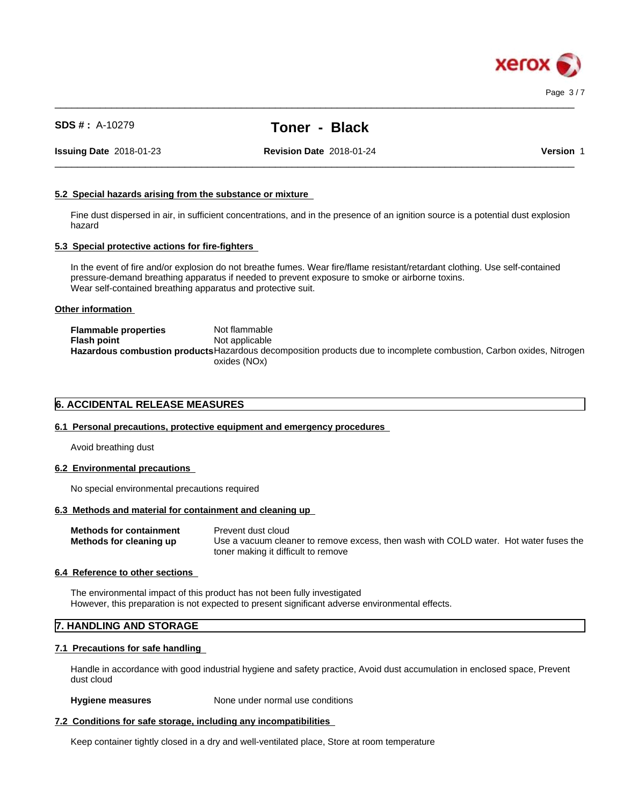

 $\_$  ,  $\_$  ,  $\_$  ,  $\_$  ,  $\_$  ,  $\_$  ,  $\_$  ,  $\_$  ,  $\_$  ,  $\_$  ,  $\_$  ,  $\_$  ,  $\_$  ,  $\_$  ,  $\_$  ,  $\_$  ,  $\_$  ,  $\_$  ,  $\_$  ,  $\_$  ,  $\_$  ,  $\_$  ,  $\_$  ,  $\_$  ,  $\_$  ,  $\_$  ,  $\_$  ,  $\_$  ,  $\_$  ,  $\_$  ,  $\_$  ,  $\_$  ,  $\_$  ,  $\_$  ,  $\_$  ,  $\_$  ,  $\_$  ,

**Issuing Date** 2018-01-23 **Revision Date** 2018-01-24 **Version** 1

 $\_$  ,  $\_$  ,  $\_$  ,  $\_$  ,  $\_$  ,  $\_$  ,  $\_$  ,  $\_$  ,  $\_$  ,  $\_$  ,  $\_$  ,  $\_$  ,  $\_$  ,  $\_$  ,  $\_$  ,  $\_$  ,  $\_$  ,  $\_$  ,  $\_$  ,  $\_$  ,  $\_$  ,  $\_$  ,  $\_$  ,  $\_$  ,  $\_$  ,  $\_$  ,  $\_$  ,  $\_$  ,  $\_$  ,  $\_$  ,  $\_$  ,  $\_$  ,  $\_$  ,  $\_$  ,  $\_$  ,  $\_$  ,  $\_$  ,

# **5.2 Special hazards arising from the substance or mixture**

Fine dust dispersed in air, in sufficient concentrations, and in the presence of an ignition source is a potential dust explosion hazard

# **5.3 Special protective actions for fire-fighters**

In the event of fire and/or explosion do not breathe fumes. Wear fire/flame resistant/retardant clothing. Use self-contained pressure-demand breathing apparatus if needed to prevent exposure to smoke or airborne toxins. Wear self-contained breathing apparatus and protective suit.

## **Other information**

| <b>Flammable properties</b> | Not flammable                                                                                                        |
|-----------------------------|----------------------------------------------------------------------------------------------------------------------|
| <b>Flash point</b>          | Not applicable                                                                                                       |
|                             | Hazardous combustion products Hazardous decomposition products due to incomplete combustion, Carbon oxides, Nitrogen |
|                             | oxides (NOx)                                                                                                         |

# **6. ACCIDENTAL RELEASE MEASURES**

# **6.1 Personal precautions, protective equipment and emergency procedures**

Avoid breathing dust

#### **6.2 Environmental precautions**

No special environmental precautions required

# **6.3 Methods and material for containment and cleaning up**

| <b>Methods for containment</b> | Prevent dust cloud                                                                    |
|--------------------------------|---------------------------------------------------------------------------------------|
| Methods for cleaning up        | Use a vacuum cleaner to remove excess, then wash with COLD water. Hot water fuses the |
|                                | toner making it difficult to remove                                                   |

#### **6.4 Reference to other sections**

The environmental impact of this product has not been fully investigated However, this preparation is not expected to present significant adverse environmental effects.

# **7. HANDLING AND STORAGE**

## **7.1 Precautions for safe handling**

Handle in accordance with good industrial hygiene and safety practice, Avoid dust accumulation in enclosed space, Prevent dust cloud

#### **Hygiene measures** None under normal use conditions

# **7.2 Conditions for safe storage, including any incompatibilities**

Keep container tightly closed in a dry and well-ventilated place, Store at room temperature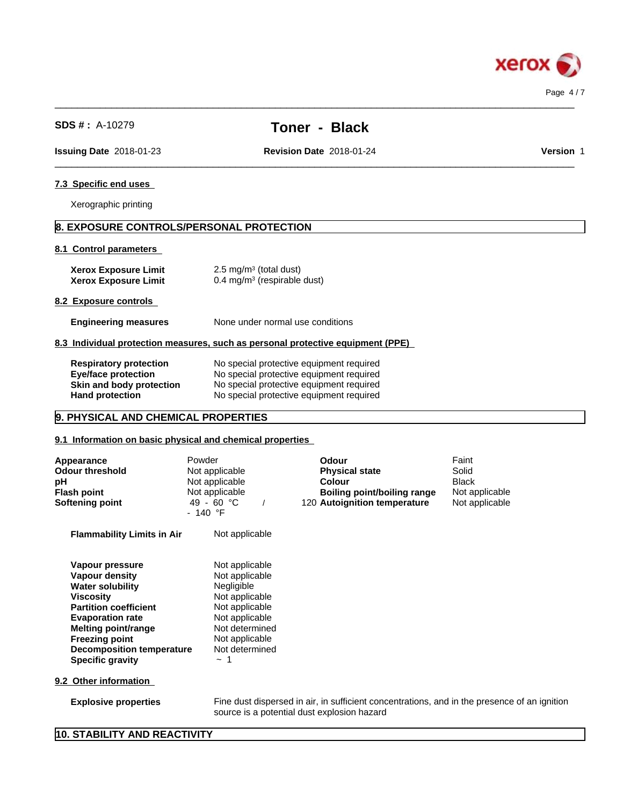

 $\_$  ,  $\_$  ,  $\_$  ,  $\_$  ,  $\_$  ,  $\_$  ,  $\_$  ,  $\_$  ,  $\_$  ,  $\_$  ,  $\_$  ,  $\_$  ,  $\_$  ,  $\_$  ,  $\_$  ,  $\_$  ,  $\_$  ,  $\_$  ,  $\_$  ,  $\_$  ,  $\_$  ,  $\_$  ,  $\_$  ,  $\_$  ,  $\_$  ,  $\_$  ,  $\_$  ,  $\_$  ,  $\_$  ,  $\_$  ,  $\_$  ,  $\_$  ,  $\_$  ,  $\_$  ,  $\_$  ,  $\_$  ,  $\_$  ,

 $\_$  ,  $\_$  ,  $\_$  ,  $\_$  ,  $\_$  ,  $\_$  ,  $\_$  ,  $\_$  ,  $\_$  ,  $\_$  ,  $\_$  ,  $\_$  ,  $\_$  ,  $\_$  ,  $\_$  ,  $\_$  ,  $\_$  ,  $\_$  ,  $\_$  ,  $\_$  ,  $\_$  ,  $\_$  ,  $\_$  ,  $\_$  ,  $\_$  ,  $\_$  ,  $\_$  ,  $\_$  ,  $\_$  ,  $\_$  ,  $\_$  ,  $\_$  ,  $\_$  ,  $\_$  ,  $\_$  ,  $\_$  ,  $\_$  ,

**Issuing Date** 2018-01-23 **Revision Date** 2018-01-24 **Version** 1

# **7.3 Specific end uses**

Xerographic printing

# **8. EXPOSURE CONTROLS/PERSONAL PROTECTION**

## **8.1 Control parameters**

| <b>Xerox Exposure Limit</b> | $2.5 \text{ mg/m}^3$ (total dust)      |
|-----------------------------|----------------------------------------|
| <b>Xerox Exposure Limit</b> | $0.4 \text{ mg/m}^3$ (respirable dust) |

## **8.2 Exposure controls**

**Engineering measures** None under normal use conditions

## **8.3 Individual protection measures, such as personal protective equipment (PPE)**

| <b>Respiratory protection</b> | No special protective equipment required |
|-------------------------------|------------------------------------------|
| Eye/face protection           | No special protective equipment required |
| Skin and body protection      | No special protective equipment required |
| <b>Hand protection</b>        | No special protective equipment required |

# **9. PHYSICAL AND CHEMICAL PROPERTIES**

# **9.1 Information on basic physical and chemical properties**

| Appearance<br><b>Odour threshold</b><br>pH<br><b>Flash point</b><br><b>Softening point</b>                                                                                                                                                          | Powder<br>Not applicable<br>Not applicable<br>Not applicable<br>$49 - 60 °C$<br>- 140 °F                                                                             | Odour<br><b>Physical state</b><br><b>Colour</b><br>Boiling point/boiling range<br>120 Autoignition temperature | Faint<br>Solid<br><b>Black</b><br>Not applicable<br>Not applicable |
|-----------------------------------------------------------------------------------------------------------------------------------------------------------------------------------------------------------------------------------------------------|----------------------------------------------------------------------------------------------------------------------------------------------------------------------|----------------------------------------------------------------------------------------------------------------|--------------------------------------------------------------------|
| <b>Flammability Limits in Air</b>                                                                                                                                                                                                                   | Not applicable                                                                                                                                                       |                                                                                                                |                                                                    |
| Vapour pressure<br>Vapour density<br><b>Water solubility</b><br>Viscosity<br><b>Partition coefficient</b><br><b>Evaporation rate</b><br>Melting point/range<br><b>Freezing point</b><br><b>Decomposition temperature</b><br><b>Specific gravity</b> | Not applicable<br>Not applicable<br>Negligible<br>Not applicable<br>Not applicable<br>Not applicable<br>Not determined<br>Not applicable<br>Not determined<br>$\sim$ |                                                                                                                |                                                                    |
| 9.2 Other information                                                                                                                                                                                                                               |                                                                                                                                                                      |                                                                                                                |                                                                    |
| <b>Explosive properties</b>                                                                                                                                                                                                                         | source is a potential dust explosion hazard                                                                                                                          | Fine dust dispersed in air, in sufficient concentrations, and in the presence of an ignition                   |                                                                    |

# **10. STABILITY AND REACTIVITY**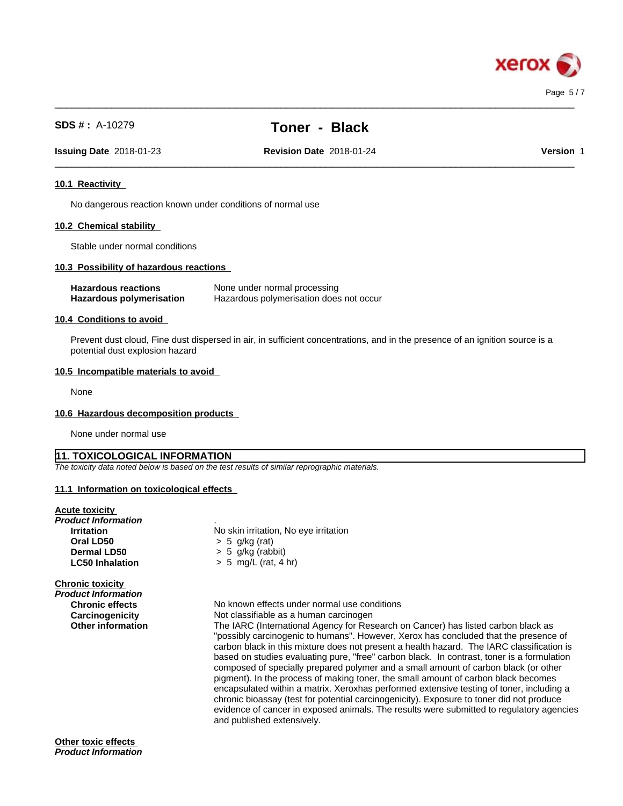

# **SDS # :** A-10279 **Toner - Black**

 $\_$  ,  $\_$  ,  $\_$  ,  $\_$  ,  $\_$  ,  $\_$  ,  $\_$  ,  $\_$  ,  $\_$  ,  $\_$  ,  $\_$  ,  $\_$  ,  $\_$  ,  $\_$  ,  $\_$  ,  $\_$  ,  $\_$  ,  $\_$  ,  $\_$  ,  $\_$  ,  $\_$  ,  $\_$  ,  $\_$  ,  $\_$  ,  $\_$  ,  $\_$  ,  $\_$  ,  $\_$  ,  $\_$  ,  $\_$  ,  $\_$  ,  $\_$  ,  $\_$  ,  $\_$  ,  $\_$  ,  $\_$  ,  $\_$  ,

 $\_$  ,  $\_$  ,  $\_$  ,  $\_$  ,  $\_$  ,  $\_$  ,  $\_$  ,  $\_$  ,  $\_$  ,  $\_$  ,  $\_$  ,  $\_$  ,  $\_$  ,  $\_$  ,  $\_$  ,  $\_$  ,  $\_$  ,  $\_$  ,  $\_$  ,  $\_$  ,  $\_$  ,  $\_$  ,  $\_$  ,  $\_$  ,  $\_$  ,  $\_$  ,  $\_$  ,  $\_$  ,  $\_$  ,  $\_$  ,  $\_$  ,  $\_$  ,  $\_$  ,  $\_$  ,  $\_$  ,  $\_$  ,  $\_$  ,

**Issuing Date** 2018-01-23 **Revision Date** 2018-01-24 **Version** 1

# **10.1 Reactivity**

No dangerous reaction known under conditions of normal use

# **10.2 Chemical stability**

Stable under normal conditions

# **10.3 Possibility of hazardous reactions**

| <b>Hazardous reactions</b> | None under normal processing            |
|----------------------------|-----------------------------------------|
| Hazardous polymerisation   | Hazardous polymerisation does not occur |

## **10.4 Conditions to avoid**

Prevent dust cloud, Fine dust dispersed in air, in sufficient concentrations, and in the presence of an ignition source is a potential dust explosion hazard

#### **10.5 Incompatible materials to avoid**

None

#### **10.6 Hazardous decomposition products**

None under normal use

# **11. TOXICOLOGICAL INFORMATION**

*The toxicity data noted below is based on the test results of similar reprographic materials.*

#### **11.1 Information on toxicologicaleffects**

# **Acute toxicity**

| Product Information<br><b>Irritation</b><br>Oral LD50<br>Dermal LD50<br><b>LC50 Inhalation</b> | No skin irritation, No eye irritation<br>$> 5$ g/kg (rat)<br>$> 5$ g/kg (rabbit)<br>$> 5$ mg/L (rat, 4 hr)                                                                                                                                                                                                                                                                                                                                                                                                                                                                                                                                                                                                                                                                                                                            |
|------------------------------------------------------------------------------------------------|---------------------------------------------------------------------------------------------------------------------------------------------------------------------------------------------------------------------------------------------------------------------------------------------------------------------------------------------------------------------------------------------------------------------------------------------------------------------------------------------------------------------------------------------------------------------------------------------------------------------------------------------------------------------------------------------------------------------------------------------------------------------------------------------------------------------------------------|
| <b>Chronic toxicity</b><br>Product Information                                                 |                                                                                                                                                                                                                                                                                                                                                                                                                                                                                                                                                                                                                                                                                                                                                                                                                                       |
| <b>Chronic effects</b>                                                                         | No known effects under normal use conditions                                                                                                                                                                                                                                                                                                                                                                                                                                                                                                                                                                                                                                                                                                                                                                                          |
| Carcinogenicity                                                                                | Not classifiable as a human carcinogen                                                                                                                                                                                                                                                                                                                                                                                                                                                                                                                                                                                                                                                                                                                                                                                                |
| <b>Other information</b>                                                                       | The IARC (International Agency for Research on Cancer) has listed carbon black as<br>"possibly carcinogenic to humans". However, Xerox has concluded that the presence of<br>carbon black in this mixture does not present a health hazard. The IARC classification is<br>based on studies evaluating pure, "free" carbon black. In contrast, toner is a formulation<br>composed of specially prepared polymer and a small amount of carbon black (or other<br>pigment). In the process of making toner, the small amount of carbon black becomes<br>encapsulated within a matrix. Xeroxhas performed extensive testing of toner, including a<br>chronic bioassay (test for potential carcinogenicity). Exposure to toner did not produce<br>evidence of cancer in exposed animals. The results were submitted to regulatory agencies |

and published extensively.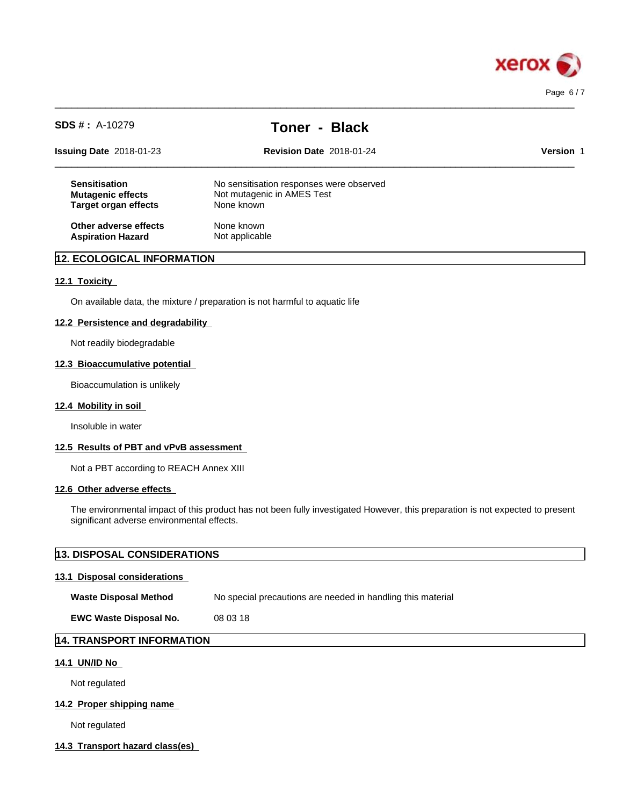

| $SDS #: A-10279$                                                                | <b>Toner - Black</b>                                                                 |                  |  |
|---------------------------------------------------------------------------------|--------------------------------------------------------------------------------------|------------------|--|
| <b>Issuing Date 2018-01-23</b>                                                  | <b>Revision Date 2018-01-24</b>                                                      | <b>Version 1</b> |  |
| <b>Sensitisation</b><br><b>Mutagenic effects</b><br><b>Target organ effects</b> | No sensitisation responses were observed<br>Not mutagenic in AMES Test<br>None known |                  |  |
| Other adverse effects<br><b>Aspiration Hazard</b>                               | None known<br>Not applicable                                                         |                  |  |

 $\_$  ,  $\_$  ,  $\_$  ,  $\_$  ,  $\_$  ,  $\_$  ,  $\_$  ,  $\_$  ,  $\_$  ,  $\_$  ,  $\_$  ,  $\_$  ,  $\_$  ,  $\_$  ,  $\_$  ,  $\_$  ,  $\_$  ,  $\_$  ,  $\_$  ,  $\_$  ,  $\_$  ,  $\_$  ,  $\_$  ,  $\_$  ,  $\_$  ,  $\_$  ,  $\_$  ,  $\_$  ,  $\_$  ,  $\_$  ,  $\_$  ,  $\_$  ,  $\_$  ,  $\_$  ,  $\_$  ,  $\_$  ,  $\_$  ,

# **12. ECOLOGICAL INFORMATION**

## **12.1 Toxicity**

On available data, the mixture / preparation is not harmful to aquatic life

#### **12.2 Persistence and degradability**

Not readily biodegradable

## **12.3 Bioaccumulative potential**

Bioaccumulation is unlikely

## **12.4 Mobility in soil**

Insoluble in water

#### **12.5 Results of PBT and vPvB assessment**

Not a PBT according to REACH Annex XIII

#### **12.6 Other adverse effects**

The environmental impact of this product has not been fully investigated However, this preparation is not expected to present significant adverse environmental effects.

# **13. DISPOSAL CONSIDERATIONS 13.1 Disposal considerations Waste Disposal Method** No special precautions are needed in handling this material **EWC Waste Disposal No.** 08 03 18 **14. TRANSPORT INFORMATION**

# **14.1 UN/ID No**

Not regulated

# **14.2 Proper shipping name**

Not regulated

## **14.3 Transport hazard class(es)**